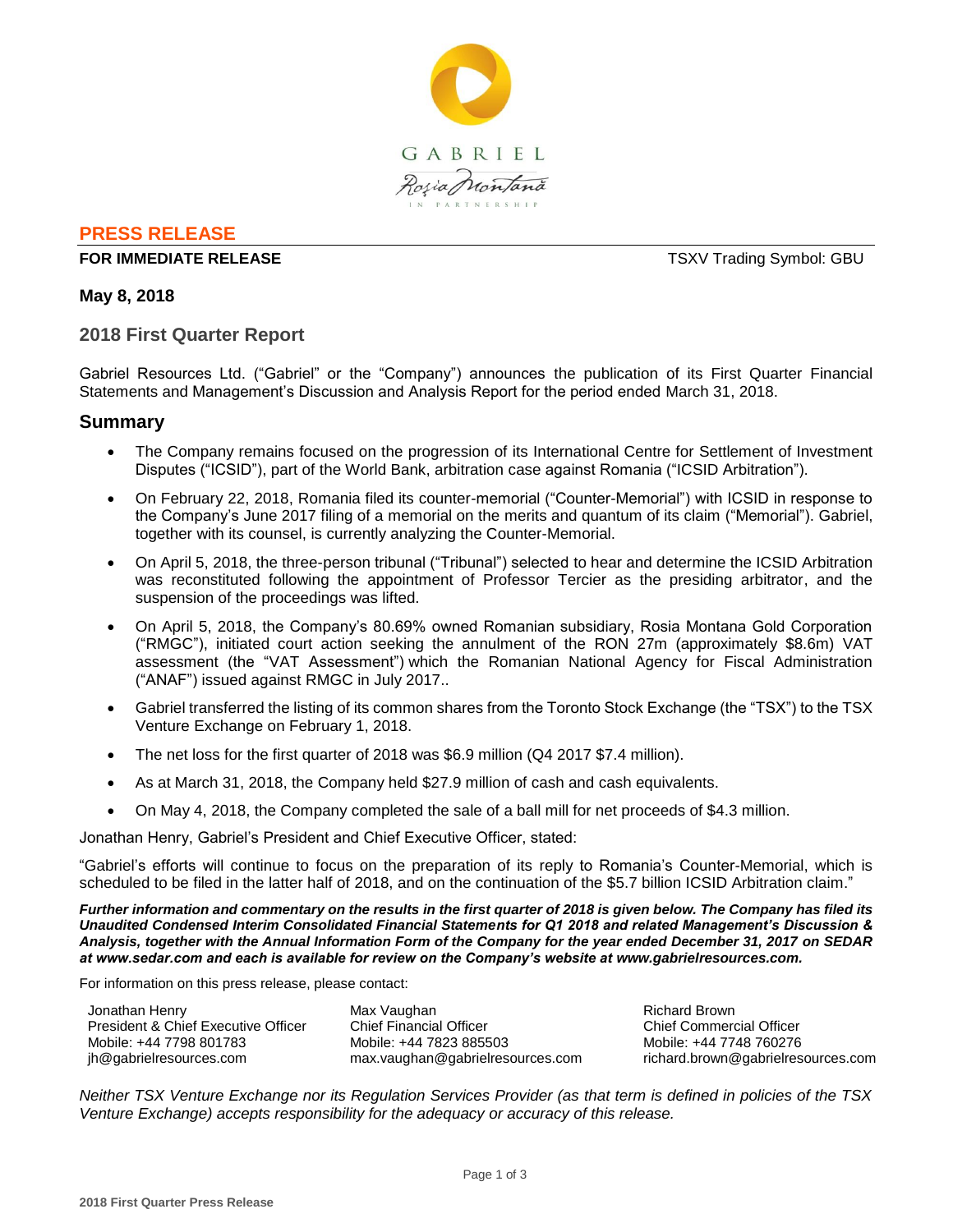

# **PRESS RELEASE**

## **FOR IMMEDIATE RELEASE THE SECOND STATE SERVICES ASSESSED ASSESSED AT A SERVICE SERVICE SERVICES**

**May 8, 2018**

# **2018 First Quarter Report**

Gabriel Resources Ltd. ("Gabriel" or the "Company") announces the publication of its First Quarter Financial Statements and Management's Discussion and Analysis Report for the period ended March 31, 2018.

# **Summary**

- The Company remains focused on the progression of its International Centre for Settlement of Investment Disputes ("ICSID"), part of the World Bank, arbitration case against Romania ("ICSID Arbitration").
- On February 22, 2018, Romania filed its counter-memorial ("Counter-Memorial") with ICSID in response to the Company's June 2017 filing of a memorial on the merits and quantum of its claim ("Memorial"). Gabriel, together with its counsel, is currently analyzing the Counter-Memorial.
- On April 5, 2018, the three-person tribunal ("Tribunal") selected to hear and determine the ICSID Arbitration was reconstituted following the appointment of Professor Tercier as the presiding arbitrator, and the suspension of the proceedings was lifted.
- On April 5, 2018, the Company's 80.69% owned Romanian subsidiary, Rosia Montana Gold Corporation ("RMGC"), initiated court action seeking the annulment of the RON 27m (approximately \$8.6m) VAT assessment (the "VAT Assessment") which the Romanian National Agency for Fiscal Administration ("ANAF") issued against RMGC in July 2017..
- Gabriel transferred the listing of its common shares from the Toronto Stock Exchange (the "TSX") to the TSX Venture Exchange on February 1, 2018.
- The net loss for the first quarter of 2018 was \$6.9 million (Q4 2017 \$7.4 million).
- As at March 31, 2018, the Company held \$27.9 million of cash and cash equivalents.
- On May 4, 2018, the Company completed the sale of a ball mill for net proceeds of \$4.3 million.

Jonathan Henry, Gabriel's President and Chief Executive Officer, stated:

"Gabriel's efforts will continue to focus on the preparation of its reply to Romania's Counter-Memorial, which is scheduled to be filed in the latter half of 2018, and on the continuation of the \$5.7 billion ICSID Arbitration claim."

*Further information and commentary on the results in the first quarter of 2018 is given below. The Company has filed its Unaudited Condensed Interim Consolidated Financial Statements for Q1 2018 and related Management's Discussion & Analysis, together with the Annual Information Form of the Company for the year ended December 31, 2017 on SEDAR at www.sedar.com and each is available for review on the Company's website at www.gabrielresources.com.* 

For information on this press release, please contact:

| Jonathan Henry                      |
|-------------------------------------|
| President & Chief Executive Officer |
| Mobile: +44 7798 801783             |
| jh@gabrielresources.com             |

Max Vaughan Chief Financial Officer Mobile: +44 7823 885503 max.vaughan@gabrielresources.com

Richard Brown Chief Commercial Officer Mobile: +44 7748 760276 richard.brown@gabrielresources.com

*Neither TSX Venture Exchange nor its Regulation Services Provider (as that term is defined in policies of the TSX Venture Exchange) accepts responsibility for the adequacy or accuracy of this release.*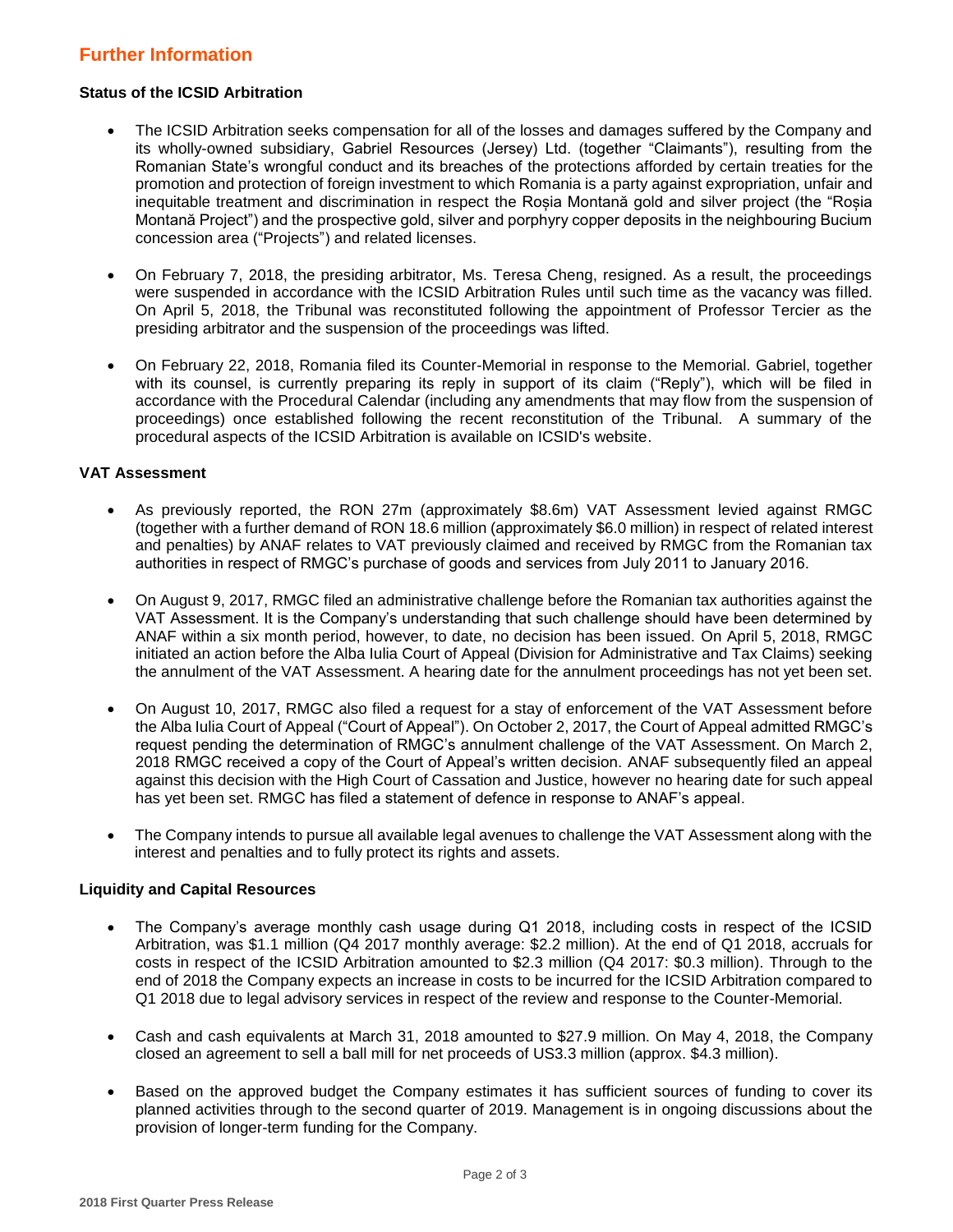# **Further Information**

## **Status of the ICSID Arbitration**

- The ICSID Arbitration seeks compensation for all of the losses and damages suffered by the Company and its wholly-owned subsidiary, Gabriel Resources (Jersey) Ltd. (together "Claimants"), resulting from the Romanian State's wrongful conduct and its breaches of the protections afforded by certain treaties for the promotion and protection of foreign investment to which Romania is a party against expropriation, unfair and inequitable treatment and discrimination in respect the Roșia Montană gold and silver project (the "Roșia Montană Project") and the prospective gold, silver and porphyry copper deposits in the neighbouring Bucium concession area ("Projects") and related licenses.
- On February 7, 2018, the presiding arbitrator, Ms. Teresa Cheng, resigned. As a result, the proceedings were suspended in accordance with the ICSID Arbitration Rules until such time as the vacancy was filled. On April 5, 2018, the Tribunal was reconstituted following the appointment of Professor Tercier as the presiding arbitrator and the suspension of the proceedings was lifted.
- On February 22, 2018, Romania filed its Counter-Memorial in response to the Memorial. Gabriel, together with its counsel, is currently preparing its reply in support of its claim ("Reply"), which will be filed in accordance with the Procedural Calendar (including any amendments that may flow from the suspension of proceedings) once established following the recent reconstitution of the Tribunal. A summary of the procedural aspects of the ICSID Arbitration is available on ICSID's website.

### **VAT Assessment**

- As previously reported, the RON 27m (approximately \$8.6m) VAT Assessment levied against RMGC (together with a further demand of RON 18.6 million (approximately \$6.0 million) in respect of related interest and penalties) by ANAF relates to VAT previously claimed and received by RMGC from the Romanian tax authorities in respect of RMGC's purchase of goods and services from July 2011 to January 2016.
- On August 9, 2017, RMGC filed an administrative challenge before the Romanian tax authorities against the VAT Assessment. It is the Company's understanding that such challenge should have been determined by ANAF within a six month period, however, to date, no decision has been issued. On April 5, 2018, RMGC initiated an action before the Alba Iulia Court of Appeal (Division for Administrative and Tax Claims) seeking the annulment of the VAT Assessment. A hearing date for the annulment proceedings has not yet been set.
- On August 10, 2017, RMGC also filed a request for a stay of enforcement of the VAT Assessment before the Alba Iulia Court of Appeal ("Court of Appeal"). On October 2, 2017, the Court of Appeal admitted RMGC's request pending the determination of RMGC's annulment challenge of the VAT Assessment. On March 2, 2018 RMGC received a copy of the Court of Appeal's written decision. ANAF subsequently filed an appeal against this decision with the High Court of Cassation and Justice, however no hearing date for such appeal has yet been set. RMGC has filed a statement of defence in response to ANAF's appeal.
- The Company intends to pursue all available legal avenues to challenge the VAT Assessment along with the interest and penalties and to fully protect its rights and assets.

## **Liquidity and Capital Resources**

- The Company's average monthly cash usage during Q1 2018, including costs in respect of the ICSID Arbitration, was \$1.1 million (Q4 2017 monthly average: \$2.2 million). At the end of Q1 2018, accruals for costs in respect of the ICSID Arbitration amounted to \$2.3 million (Q4 2017: \$0.3 million). Through to the end of 2018 the Company expects an increase in costs to be incurred for the ICSID Arbitration compared to Q1 2018 due to legal advisory services in respect of the review and response to the Counter-Memorial.
- Cash and cash equivalents at March 31, 2018 amounted to \$27.9 million. On May 4, 2018, the Company closed an agreement to sell a ball mill for net proceeds of US3.3 million (approx. \$4.3 million).
- Based on the approved budget the Company estimates it has sufficient sources of funding to cover its planned activities through to the second quarter of 2019. Management is in ongoing discussions about the provision of longer-term funding for the Company.